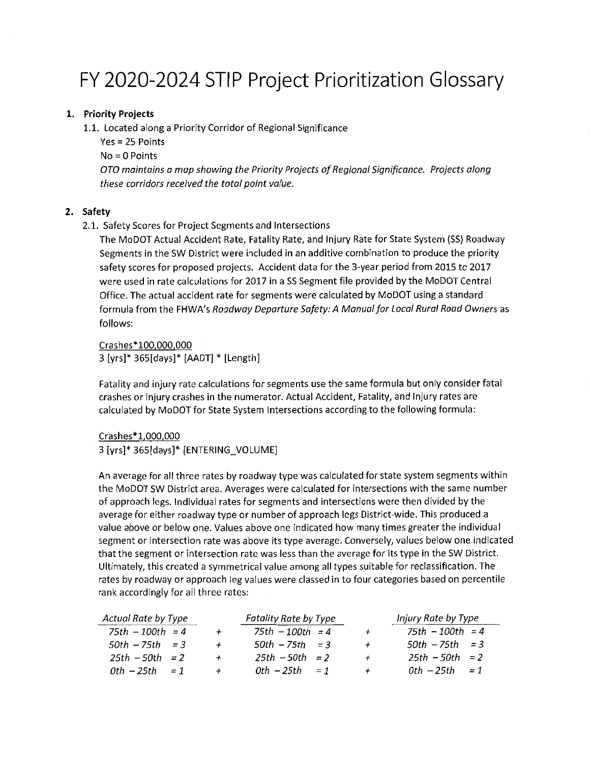# FY 2020-2024 STIP Project Prioritization Glossary

## 1. Priority Projects

1.1. Located along a Priority Corridor of Regional Significance

Yes = 25 Points No=OPoints OTO maintains amap showing the Priority Projects o{ Regional Significance. Projects along these corridors received the total point value.

#### 2. Safety

2.1. Safety Scores for Project Segments and Intersections

The MoDOT Actual Accident Rate, Fatality Rate, and Injury Rate for State System (SS) Roadway Segments in the SW District were included in an additive combination to produce the priority safety scores for proposed projects. Accident data for the 3-year period from 2015 to 2017 were used in rate calculations for 2017 in <sup>a</sup> SS Segment file provided by the MoDOT Central Office. The actual accident rate for segments were calculated by MoDOT using a standard formula from the FHWA's Roadway Departure Safety: A Manual for Local Rural Road Owners as follows:

Crashes\*100,000,000 <sup>3</sup> [yrs]\* 365[days]\* [AADT] \* [Length]

Fatality and injury rate calculations for segments use the same formula but only consider fatal crashes or injury crashes in the numerator. Actual Accident, Fatality, and Injury rates are calculated by MoDOT for State System Intersections according to the following formula:

#### Crashes\*1.000.000

3 [yrs]\* 365[days]\* [ENTERING\_VOLUME]

An average for all three rates by roadway type was calculated for state system segments within the MoDOTSW District area. Averages were calculated for intersections with the same number of approach legs. Individual rates for segments and intersections were then divided by the average for either roadway type or number of approach legs District-wide. This produced <sup>a</sup> value above or below one. Values above one indicated how many times greater the individual segment or intersection rate was above its type average. Conversely, values below one indicated that the segment or intersection rate was less than the average for its type in the SW District. Ultimately, this created <sup>a</sup> symmetrical value among all types suitable for reclassification. The rates by roadway or approach leg values were classed in to four categories based on percentile rank accordingly for all three rates:

| Actual Rate by Type   |                | Fatality Rate by Type |                  | Injury Rate by Type |
|-----------------------|----------------|-----------------------|------------------|---------------------|
| $75th - 100th = 4$    | $\overline{+}$ | $75th - 100th = 4$    |                  | $75th - 100th = 4$  |
| $50th - 75th = 3$     |                | $50th - 75th = 3$     | $\boldsymbol{+}$ | $50th - 75th = 3$   |
| $25th - 50th = 2$     |                | $25th - 50th = 2$     |                  | $25th - 50th = 2$   |
| $0th - 25th$<br>$= 1$ |                | $0th - 25th = 1$      |                  | $0th - 25th = 1$    |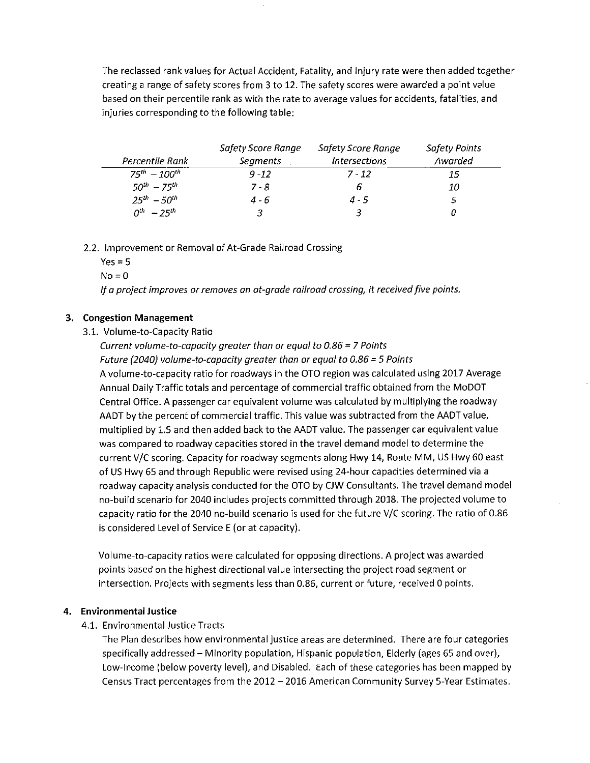The reclassed rank values for Actual Accident, Fatality, and Injury rate were then added together creating a range of safety scores from 3 to 12. The safety scores were awarded a point value based on their percentile rank as with the rate to average values for accidents, fatalities, and injuries corresponding to the following table:

|                      | Safety Score Range | Safety Score Range                 | <b>Safety Points</b> |
|----------------------|--------------------|------------------------------------|----------------------|
| Percentile Rank      | <b>Segments</b>    | <i><u><b>Intersections</b></u></i> | Awarded              |
| $75^{th} - 100^{th}$ | $9 - 12$           | $7 - 12$                           | 15                   |
| $50^{th} - 75^{th}$  | $7 - 8$            | 6                                  | 10                   |
| $25^{th} - 50^{th}$  | 4 - 6              | $4 - 5$                            |                      |
| $0^{th} - 25^{th}$   |                    |                                    |                      |

#### 2.2. Improvement or Removal of At-Grade Railroad Crossing

 $Yes = 5$ 

 $No = 0$ 

If a project improves or removes an at-grade railroad crossing, it received five points.

#### 3. Congestion Management

#### 3.1. Volume-to-Capacity Ratio

Current volume-to-capacity greater than or equal to 0.86 <sup>=</sup> 7 Points Future (2040) volume-to-capacity greater than or equal to 0.86 <sup>=</sup> 5 Points A volume-to-capacity ratio for roadways in the OTO region was calculated using 2017 Average Annual Daily Traffic totals and percentage of commercial traffic obtained from the MoDOT Central Office. <sup>A</sup> passenger car equivalent volume was calculated by multiplying the roadway AADT by the percent of commercial traffic. This value was subtracted from the AADT value, multiplied by 1.5 and then added back to the AADT value. The passenger car equivalent value was compared to roadway capacities stored in the travel demand model to determine the current V/C scoring. Capacity for roadway segments along Hwy 14, Route MM, US Hwy 60 east of US Hwy 65 and through Republic were revised using 24-hour capacities determined via <sup>a</sup> roadway capacity analysis conducted for the OTO by CIW Consultants. The travel demand model no-build scenario for 2040 includes projects committed through 2018. The projected volume to capacity ratio for the 2040 no-build scenario is used for the future V/C scoring. The ratio of 0.86 is considered Level of Service <sup>E</sup> (or at capacity).

Volume-to-capacity ratios were calculated for opposing directions. <sup>A</sup> project was awarded points based on the highest directional value intersecting the project road segment or intersection. Projects with segments less than 0.86, current or future, received <sup>O</sup> points.

## 4. Environmental Justice

#### 4.1. Environmental Justice Tracts

The Plan describes how environmental justice areas are determined. There are four categories specifically addressed – Minority population, Hispanic population, Elderly (ages 65 and over), Low-lncome (below poverty level), and Disabled. Each of these categories has been mapped by Census Tract percentages from the 2012 - 2016 American Community Survey 5-Year Estimates.